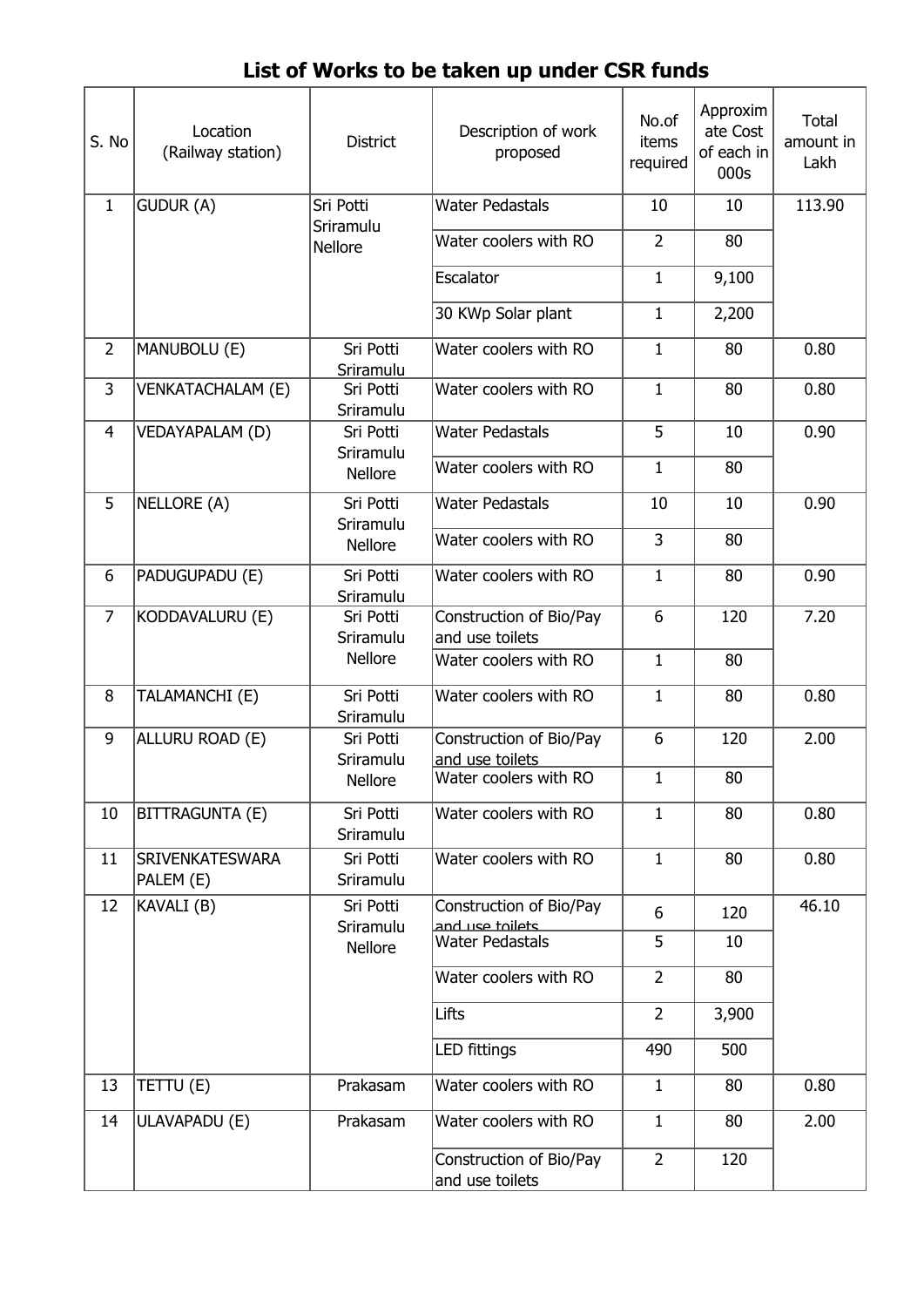| S. No          | Location<br>(Railway station)       | <b>District</b>        | Description of work<br>proposed            | No.of<br>items<br>required | Approxim<br>ate Cost<br>of each in<br>000s | <b>Total</b><br>amount in<br>Lakh |
|----------------|-------------------------------------|------------------------|--------------------------------------------|----------------------------|--------------------------------------------|-----------------------------------|
| $\mathbf{1}$   | GUDUR (A)                           | Sri Potti<br>Sriramulu | <b>Water Pedastals</b>                     | 10                         | 10                                         | 113.90                            |
|                |                                     | <b>Nellore</b>         | Water coolers with RO                      | $\overline{2}$             | 80                                         |                                   |
|                |                                     |                        | Escalator                                  | $\mathbf{1}$               | 9,100                                      |                                   |
|                |                                     |                        | 30 KWp Solar plant                         | $\mathbf 1$                | 2,200                                      |                                   |
| $\overline{2}$ | MANUBOLU (E)                        | Sri Potti<br>Sriramulu | Water coolers with RO                      | $\mathbf{1}$               | 80                                         | 0.80                              |
| 3              | <b>VENKATACHALAM (E)</b>            | Sri Potti<br>Sriramulu | Water coolers with RO                      | $\mathbf{1}$               | 80                                         | 0.80                              |
| $\overline{4}$ | VEDAYAPALAM (D)                     | Sri Potti<br>Sriramulu | <b>Water Pedastals</b>                     | 5                          | 10                                         | 0.90                              |
|                |                                     | Nellore                | Water coolers with RO                      | $\mathbf{1}$               | 80                                         |                                   |
| 5              | NELLORE (A)                         | Sri Potti              | <b>Water Pedastals</b>                     | 10                         | 10                                         | 0.90                              |
|                |                                     | Sriramulu<br>Nellore   | Water coolers with RO                      | $\overline{3}$             | 80                                         |                                   |
| 6              | PADUGUPADU (E)                      | Sri Potti<br>Sriramulu | Water coolers with RO                      | $\mathbf{1}$               | 80                                         | 0.90                              |
| $\overline{7}$ | KODDAVALURU (E)                     | Sri Potti<br>Sriramulu | Construction of Bio/Pay<br>and use toilets | 6                          | 120                                        | 7.20                              |
|                |                                     | <b>Nellore</b>         | Water coolers with RO                      | $\mathbf{1}$               | 80                                         |                                   |
| 8              | TALAMANCHI (E)                      | Sri Potti<br>Sriramulu | Water coolers with RO                      | $\mathbf{1}$               | 80                                         | 0.80                              |
| 9              | ALLURU ROAD (E)                     | Sri Potti              | Construction of Bio/Pay                    | 6                          | 120                                        | 2.00                              |
|                |                                     | Sriramulu<br>Nellore   | and use toilets<br>Water coolers with RO   | 1                          | 80                                         |                                   |
| 10             | BITTRAGUNTA (E)                     | Sri Potti<br>Sriramulu | Water coolers with RO                      | $\mathbf{1}$               | 80                                         | 0.80                              |
| 11             | <b>SRIVENKATESWARA</b><br>PALEM (E) | Sri Potti<br>Sriramulu | Water coolers with RO                      | $\mathbf{1}$               | 80                                         | 0.80                              |
| 12             | KAVALI (B)                          | Sri Potti<br>Sriramulu | Construction of Bio/Pay<br>and use toilets | 6                          | 120                                        | 46.10                             |
|                |                                     | Nellore                | Water Pedastals                            | 5                          | 10                                         |                                   |
|                |                                     |                        | Water coolers with RO                      | $\overline{2}$             | 80                                         |                                   |
|                |                                     |                        | Lifts                                      | $\overline{2}$             | 3,900                                      |                                   |
|                |                                     |                        | <b>LED</b> fittings                        | 490                        | 500                                        |                                   |
| 13             | TETTU (E)                           | Prakasam               | Water coolers with RO                      | $\mathbf{1}$               | 80                                         | 0.80                              |
| 14             | ULAVAPADU (E)                       | Prakasam               | Water coolers with RO                      | $\mathbf{1}$               | 80                                         | 2.00                              |
|                |                                     |                        | Construction of Bio/Pay<br>and use toilets | $\overline{2}$             | 120                                        |                                   |

## **List of Works to be taken up under CSR funds**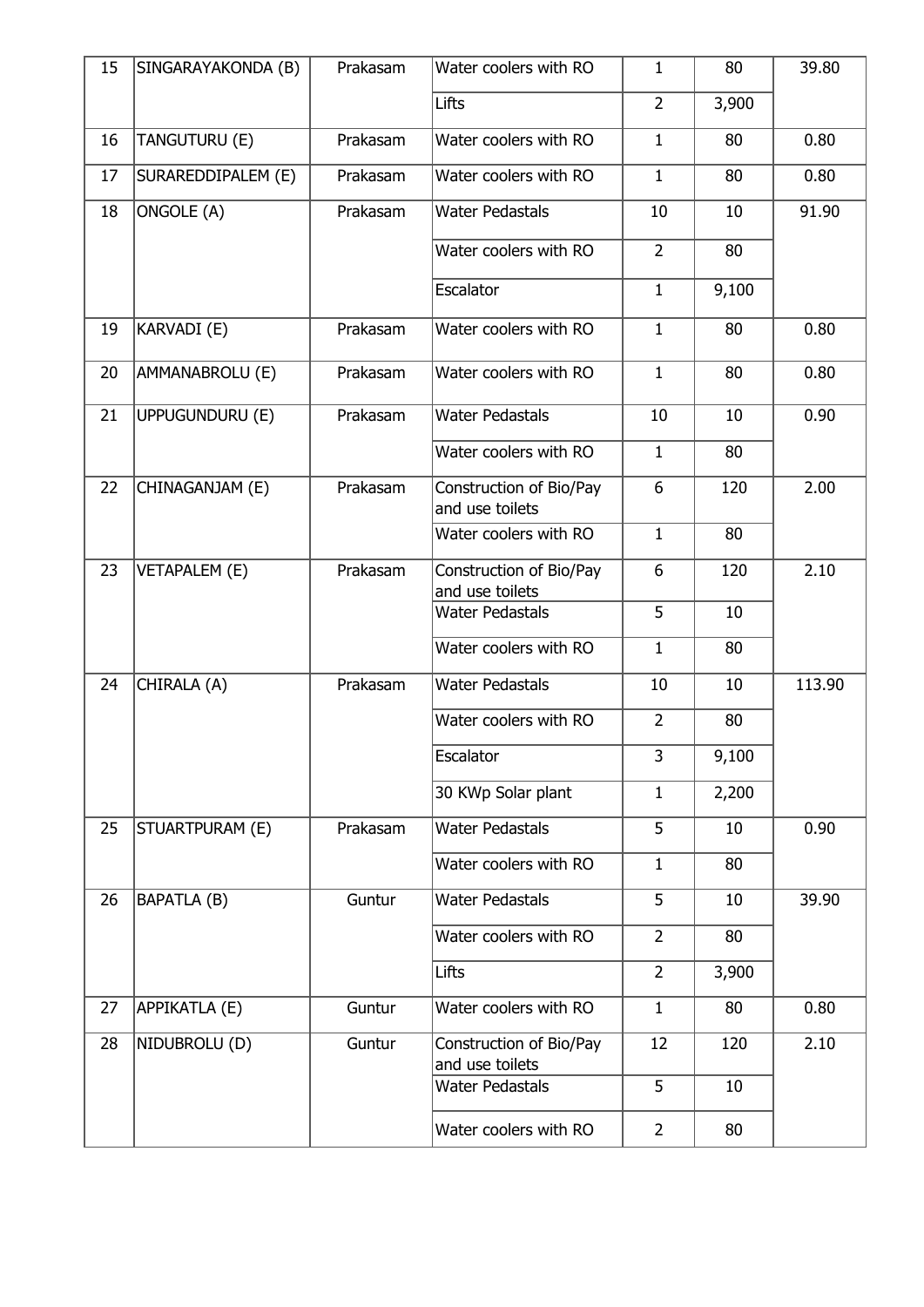| 15 | SINGARAYAKONDA (B)   | Prakasam | Water coolers with RO                      | $\mathbf{1}$   | 80    | 39.80  |
|----|----------------------|----------|--------------------------------------------|----------------|-------|--------|
|    |                      |          | Lifts                                      | $\overline{2}$ | 3,900 |        |
| 16 | TANGUTURU (E)        | Prakasam | Water coolers with RO                      | $\mathbf{1}$   | 80    | 0.80   |
| 17 | SURAREDDIPALEM (E)   | Prakasam | Water coolers with RO                      | $\mathbf{1}$   | 80    | 0.80   |
| 18 | ONGOLE (A)           | Prakasam | <b>Water Pedastals</b>                     | 10             | 10    | 91.90  |
|    |                      |          | Water coolers with RO                      | $\overline{2}$ | 80    |        |
|    |                      |          | Escalator                                  | $\mathbf{1}$   | 9,100 |        |
| 19 | KARVADI (E)          | Prakasam | Water coolers with RO                      | $\mathbf{1}$   | 80    | 0.80   |
| 20 | AMMANABROLU (E)      | Prakasam | Water coolers with RO                      | $\mathbf{1}$   | 80    | 0.80   |
| 21 | UPPUGUNDURU (E)      | Prakasam | <b>Water Pedastals</b>                     | 10             | 10    | 0.90   |
|    |                      |          | Water coolers with RO                      | $\mathbf{1}$   | 80    |        |
| 22 | CHINAGANJAM (E)      | Prakasam | Construction of Bio/Pay<br>and use toilets | 6              | 120   | 2.00   |
|    |                      |          | Water coolers with RO                      | $\mathbf{1}$   | 80    |        |
| 23 | <b>VETAPALEM (E)</b> | Prakasam | Construction of Bio/Pay<br>and use toilets | 6              | 120   | 2.10   |
|    |                      |          | <b>Water Pedastals</b>                     | 5              | 10    |        |
|    |                      |          | Water coolers with RO                      | $\mathbf{1}$   | 80    |        |
| 24 | CHIRALA (A)          | Prakasam | <b>Water Pedastals</b>                     | 10             | 10    | 113.90 |
|    |                      |          | Water coolers with RO                      | $\overline{2}$ | 80    |        |
|    |                      |          | Escalator                                  | 3              | 9,100 |        |
|    |                      |          | 30 KWp Solar plant                         | $\mathbf{1}$   | 2,200 |        |
| 25 | STUARTPURAM (E)      | Prakasam | <b>Water Pedastals</b>                     | 5              | 10    | 0.90   |
|    |                      |          | Water coolers with RO                      | $\mathbf{1}$   | 80    |        |
| 26 | BAPATLA (B)          | Guntur   | <b>Water Pedastals</b>                     | 5              | 10    | 39.90  |
|    |                      |          | Water coolers with RO                      | $\overline{2}$ | 80    |        |
|    |                      |          | Lifts                                      | $\overline{2}$ | 3,900 |        |
| 27 | APPIKATLA (E)        | Guntur   | Water coolers with RO                      | $\mathbf{1}$   | 80    | 0.80   |
| 28 | NIDUBROLU (D)        | Guntur   | Construction of Bio/Pay<br>and use toilets | 12             | 120   | 2.10   |
|    |                      |          | <b>Water Pedastals</b>                     | 5              | 10    |        |
|    |                      |          | Water coolers with RO                      | $\overline{2}$ | 80    |        |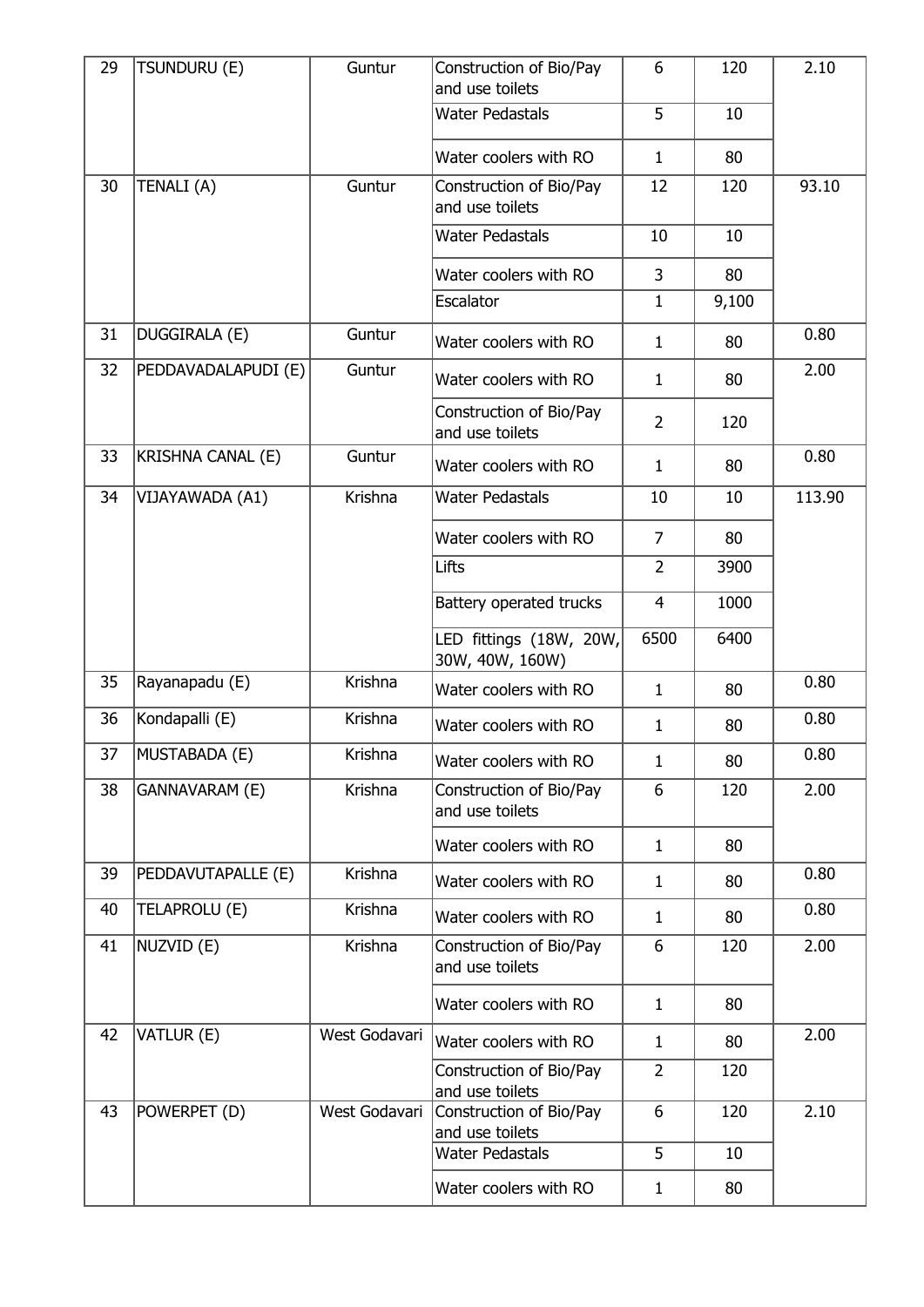| 29 | TSUNDURU (E)        | Guntur        | Construction of Bio/Pay<br>and use toilets | 6              | 120   | 2.10   |
|----|---------------------|---------------|--------------------------------------------|----------------|-------|--------|
|    |                     |               | <b>Water Pedastals</b>                     | 5              | 10    |        |
|    |                     |               | Water coolers with RO                      | $\mathbf{1}$   | 80    |        |
| 30 | TENALI (A)          | Guntur        | Construction of Bio/Pay<br>and use toilets | 12             | 120   | 93.10  |
|    |                     |               | <b>Water Pedastals</b>                     | 10             | 10    |        |
|    |                     |               | Water coolers with RO                      | 3              | 80    |        |
|    |                     |               | Escalator                                  | $\mathbf{1}$   | 9,100 |        |
| 31 | DUGGIRALA (E)       | Guntur        | Water coolers with RO                      | $\mathbf{1}$   | 80    | 0.80   |
| 32 | PEDDAVADALAPUDI (E) | Guntur        | Water coolers with RO                      | $\mathbf{1}$   | 80    | 2.00   |
|    |                     |               | Construction of Bio/Pay<br>and use toilets | $\overline{2}$ | 120   |        |
| 33 | KRISHNA CANAL (E)   | Guntur        | Water coolers with RO                      | $\mathbf{1}$   | 80    | 0.80   |
| 34 | VIJAYAWADA (A1)     | Krishna       | <b>Water Pedastals</b>                     | 10             | 10    | 113.90 |
|    |                     |               | Water coolers with RO                      | $\overline{7}$ | 80    |        |
|    |                     |               | Lifts                                      | $\overline{2}$ | 3900  |        |
|    |                     |               | Battery operated trucks                    | $\overline{4}$ | 1000  |        |
|    |                     |               | LED fittings (18W, 20W,<br>30W, 40W, 160W) | 6500           | 6400  |        |
| 35 | Rayanapadu (E)      | Krishna       | Water coolers with RO                      | $\mathbf{1}$   | 80    | 0.80   |
| 36 | Kondapalli (E)      | Krishna       | Water coolers with RO                      | 1              | 80    | 0.80   |
| 37 | MUSTABADA (E)       | Krishna       | Water coolers with RO                      | $\mathbf{1}$   | 80    | 0.80   |
| 38 | GANNAVARAM (E)      | Krishna       | Construction of Bio/Pay<br>and use toilets | 6              | 120   | 2.00   |
|    |                     |               | Water coolers with RO                      | $\mathbf{1}$   | 80    |        |
| 39 | PEDDAVUTAPALLE (E)  | Krishna       | Water coolers with RO                      | $\mathbf{1}$   | 80    | 0.80   |
| 40 | TELAPROLU (E)       | Krishna       | Water coolers with RO                      | $\mathbf{1}$   | 80    | 0.80   |
| 41 | NUZVID (E)          | Krishna       | Construction of Bio/Pay<br>and use toilets | 6              | 120   | 2.00   |
|    |                     |               | Water coolers with RO                      | $\mathbf{1}$   | 80    |        |
| 42 | VATLUR (E)          | West Godavari | Water coolers with RO                      | $\mathbf{1}$   | 80    | 2.00   |
|    |                     |               | Construction of Bio/Pay<br>and use toilets | $\overline{2}$ | 120   |        |
| 43 | POWERPET (D)        | West Godavari | Construction of Bio/Pay<br>and use toilets | 6              | 120   | 2.10   |
|    |                     |               | <b>Water Pedastals</b>                     | 5              | 10    |        |
|    |                     |               | Water coolers with RO                      | 1              | 80    |        |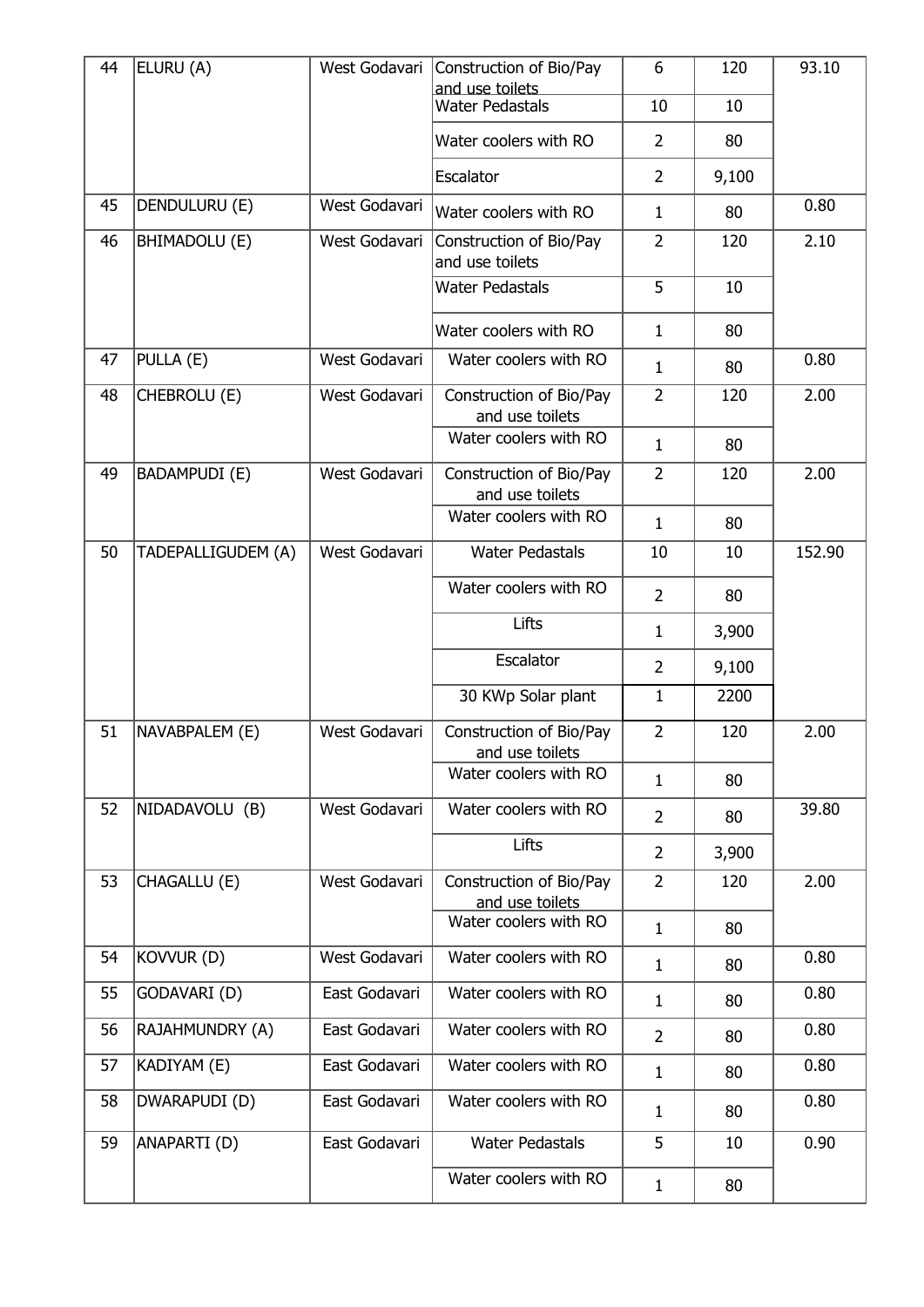| 44 | ELURU (A)          | West Godavari | Construction of Bio/Pay                    | 6              | 120   | 93.10  |
|----|--------------------|---------------|--------------------------------------------|----------------|-------|--------|
|    |                    |               | and use toilets<br><b>Water Pedastals</b>  | 10             | 10    |        |
|    |                    |               | Water coolers with RO                      | $\overline{2}$ | 80    |        |
|    |                    |               | Escalator                                  | $\overline{2}$ | 9,100 |        |
| 45 | DENDULURU (E)      | West Godavari | Water coolers with RO                      | $\mathbf{1}$   | 80    | 0.80   |
| 46 | BHIMADOLU (E)      | West Godavari | Construction of Bio/Pay<br>and use toilets | $\overline{2}$ | 120   | 2.10   |
|    |                    |               | <b>Water Pedastals</b>                     | 5              | 10    |        |
|    |                    |               | Water coolers with RO                      | $\mathbf{1}$   | 80    |        |
| 47 | PULLA (E)          | West Godavari | Water coolers with RO                      | $\mathbf{1}$   | 80    | 0.80   |
| 48 | CHEBROLU (E)       | West Godavari | Construction of Bio/Pay<br>and use toilets | $\overline{2}$ | 120   | 2.00   |
|    |                    |               | Water coolers with RO                      | $\mathbf{1}$   | 80    |        |
| 49 | BADAMPUDI (E)      | West Godavari | Construction of Bio/Pay<br>and use toilets | $\overline{2}$ | 120   | 2.00   |
|    |                    |               | Water coolers with RO                      | $\mathbf{1}$   | 80    |        |
| 50 | TADEPALLIGUDEM (A) | West Godavari | <b>Water Pedastals</b>                     | 10             | 10    | 152.90 |
|    |                    |               | Water coolers with RO                      | $\overline{2}$ | 80    |        |
|    |                    |               | Lifts                                      | $\mathbf{1}$   | 3,900 |        |
|    |                    |               | Escalator                                  | $\overline{2}$ | 9,100 |        |
|    |                    |               | 30 KWp Solar plant                         | $\mathbf{1}$   | 2200  |        |
| 51 | NAVABPALEM (E)     | West Godavari | Construction of Bio/Pay<br>and use toilets | $\overline{2}$ | 120   | 2.00   |
|    |                    |               | Water coolers with RO                      | $\mathbf{1}$   | 80    |        |
| 52 | NIDADAVOLU (B)     | West Godavari | Water coolers with RO                      | $\overline{2}$ | 80    | 39.80  |
|    |                    |               | Lifts                                      | $\overline{2}$ | 3,900 |        |
| 53 | CHAGALLU (E)       | West Godavari | Construction of Bio/Pay<br>and use toilets | $\overline{2}$ | 120   | 2.00   |
|    |                    |               | Water coolers with RO                      | $\mathbf{1}$   | 80    |        |
| 54 | KOVVUR (D)         | West Godavari | Water coolers with RO                      | $\mathbf{1}$   | 80    | 0.80   |
| 55 | GODAVARI (D)       | East Godavari | Water coolers with RO                      | $\mathbf{1}$   | 80    | 0.80   |
| 56 | RAJAHMUNDRY (A)    | East Godavari | Water coolers with RO                      | $\overline{2}$ | 80    | 0.80   |
| 57 | KADIYAM (E)        | East Godavari | Water coolers with RO                      | $\mathbf{1}$   | 80    | 0.80   |
| 58 | DWARAPUDI (D)      | East Godavari | Water coolers with RO                      | $\mathbf{1}$   | 80    | 0.80   |
| 59 | ANAPARTI(D)        | East Godavari | <b>Water Pedastals</b>                     | 5              | 10    | 0.90   |
|    |                    |               | Water coolers with RO                      | 1              | 80    |        |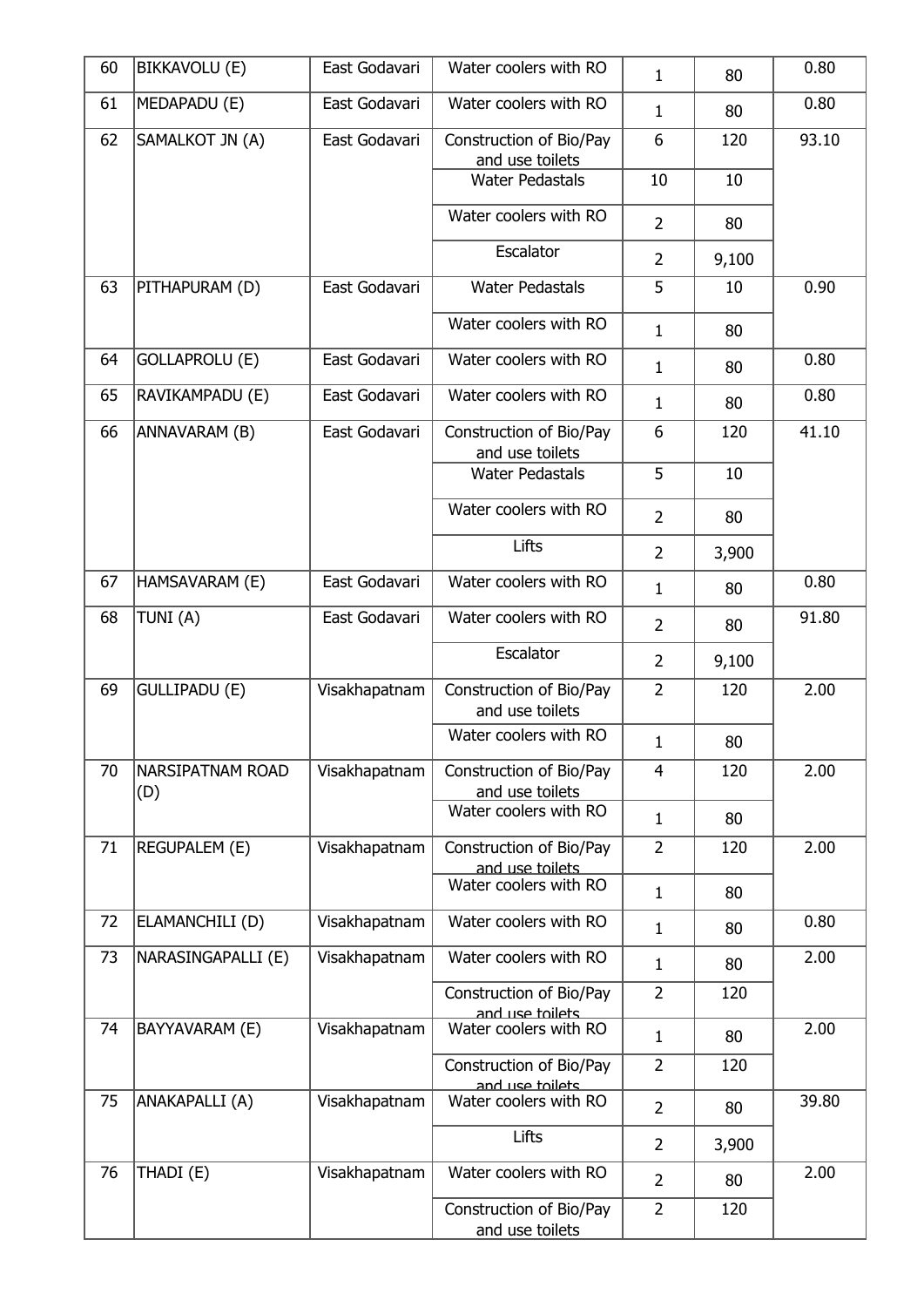| 60 | <b>BIKKAVOLU (E)</b>           | East Godavari | Water coolers with RO                      | 1              | 80    | 0.80  |
|----|--------------------------------|---------------|--------------------------------------------|----------------|-------|-------|
| 61 | MEDAPADU (E)                   | East Godavari | Water coolers with RO                      | $\mathbf{1}$   | 80    | 0.80  |
| 62 | SAMALKOT JN (A)                | East Godavari | Construction of Bio/Pay<br>and use toilets | 6              | 120   | 93.10 |
|    |                                |               | <b>Water Pedastals</b>                     | 10             | 10    |       |
|    |                                |               | Water coolers with RO                      | $\overline{2}$ | 80    |       |
|    |                                |               | Escalator                                  | $\overline{2}$ | 9,100 |       |
| 63 | PITHAPURAM (D)                 | East Godavari | <b>Water Pedastals</b>                     | 5              | 10    | 0.90  |
|    |                                |               | Water coolers with RO                      | 1              | 80    |       |
| 64 | <b>GOLLAPROLU (E)</b>          | East Godavari | Water coolers with RO                      | $\mathbf{1}$   | 80    | 0.80  |
| 65 | RAVIKAMPADU (E)                | East Godavari | Water coolers with RO                      | $\mathbf{1}$   | 80    | 0.80  |
| 66 | ANNAVARAM (B)                  | East Godavari | Construction of Bio/Pay<br>and use toilets | 6              | 120   | 41.10 |
|    |                                |               | <b>Water Pedastals</b>                     | 5              | 10    |       |
|    |                                |               | Water coolers with RO                      | $\overline{2}$ | 80    |       |
|    |                                |               | Lifts                                      | $\overline{2}$ | 3,900 |       |
| 67 | HAMSAVARAM (E)                 | East Godavari | Water coolers with RO                      | $\mathbf{1}$   | 80    | 0.80  |
| 68 | TUNI(A)                        | East Godavari | Water coolers with RO                      | $\overline{2}$ | 80    | 91.80 |
|    |                                |               | Escalator                                  | $\overline{2}$ | 9,100 |       |
| 69 | <b>GULLIPADU (E)</b>           | Visakhapatnam | Construction of Bio/Pay<br>and use toilets | $\overline{2}$ | 120   | 2.00  |
|    |                                |               | Water coolers with RO                      | $\mathbf 1$    | 80    |       |
| 70 | <b>NARSIPATNAM ROAD</b><br>(D) | Visakhapatnam | Construction of Bio/Pay<br>and use toilets | $\overline{4}$ | 120   | 2.00  |
|    |                                |               | Water coolers with RO                      | $\mathbf{1}$   | 80    |       |
| 71 | <b>REGUPALEM (E)</b>           | Visakhapatnam | Construction of Bio/Pay<br>and use toilets | $\overline{2}$ | 120   | 2.00  |
|    |                                |               | Water coolers with RO                      | $\mathbf{1}$   | 80    |       |
| 72 | ELAMANCHILI (D)                | Visakhapatnam | Water coolers with RO                      | 1              | 80    | 0.80  |
| 73 | NARASINGAPALLI (E)             | Visakhapatnam | Water coolers with RO                      | 1              | 80    | 2.00  |
|    |                                |               | Construction of Bio/Pay<br>and use toilets | $\overline{2}$ | 120   |       |
| 74 | BAYYAVARAM (E)                 | Visakhapatnam | Water coolers with RO                      | $\mathbf{1}$   | 80    | 2.00  |
|    |                                |               | Construction of Bio/Pay<br>and use toilets | $\overline{2}$ | 120   |       |
| 75 | ANAKAPALLI (A)                 | Visakhapatnam | Water coolers with RO                      | $\overline{2}$ | 80    | 39.80 |
|    |                                |               | Lifts                                      | $\overline{2}$ | 3,900 |       |
| 76 | THADI (E)                      | Visakhapatnam | Water coolers with RO                      | $\overline{2}$ | 80    | 2.00  |
|    |                                |               | Construction of Bio/Pay<br>and use toilets | $\overline{2}$ | 120   |       |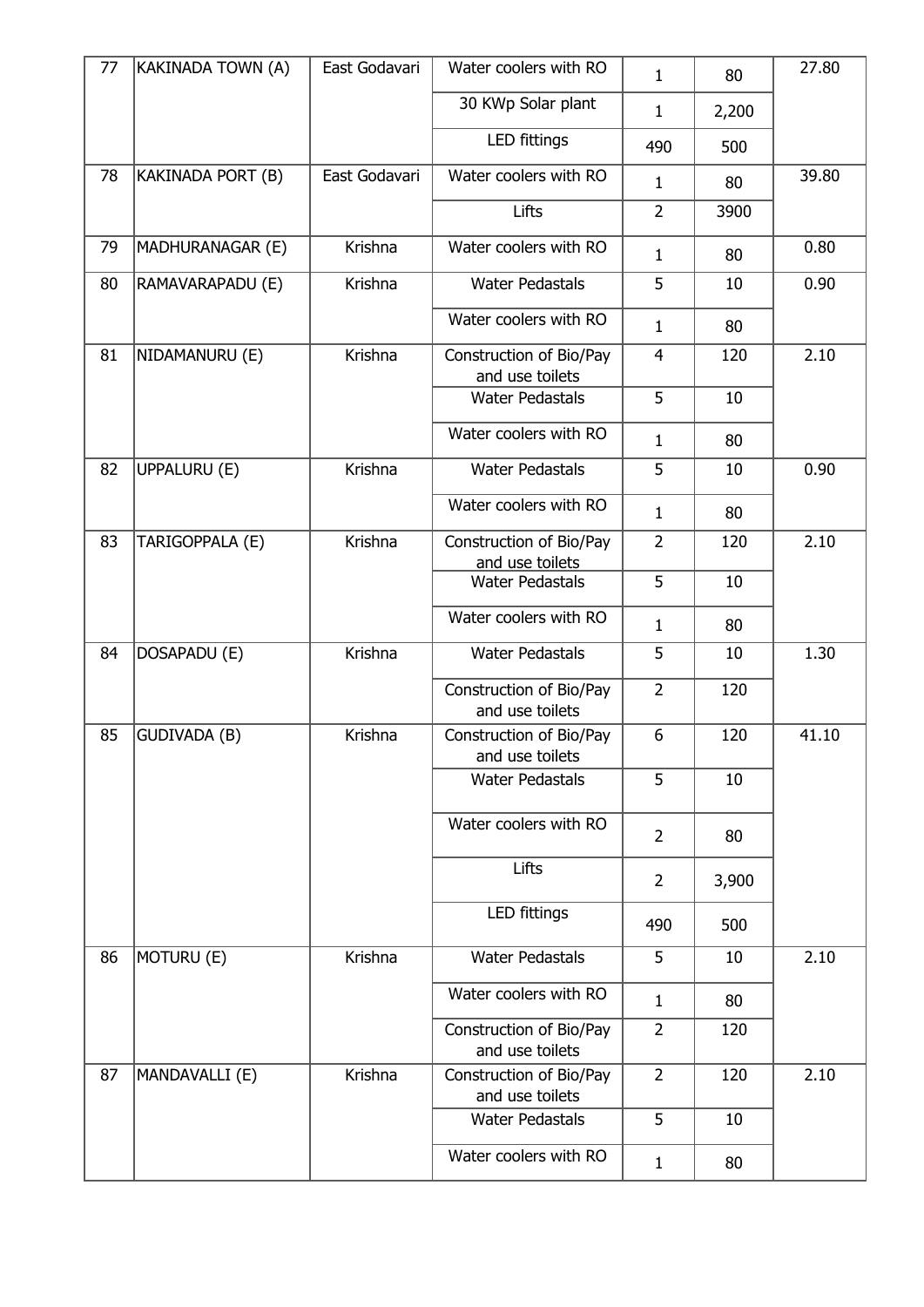| 77 | KAKINADA TOWN (A)   | East Godavari | Water coolers with RO                      | $\mathbf{1}$   | 80    | 27.80 |
|----|---------------------|---------------|--------------------------------------------|----------------|-------|-------|
|    |                     |               | 30 KWp Solar plant                         | $\mathbf{1}$   | 2,200 |       |
|    |                     |               | LED fittings                               | 490            | 500   |       |
| 78 | KAKINADA PORT (B)   | East Godavari | Water coolers with RO                      | $\mathbf{1}$   | 80    | 39.80 |
|    |                     |               | Lifts                                      | $\overline{2}$ | 3900  |       |
| 79 | MADHURANAGAR (E)    | Krishna       | Water coolers with RO                      | $\mathbf{1}$   | 80    | 0.80  |
| 80 | RAMAVARAPADU (E)    | Krishna       | <b>Water Pedastals</b>                     | 5              | 10    | 0.90  |
|    |                     |               | Water coolers with RO                      | $\mathbf{1}$   | 80    |       |
| 81 | NIDAMANURU (E)      | Krishna       | Construction of Bio/Pay<br>and use toilets | $\overline{4}$ | 120   | 2.10  |
|    |                     |               | <b>Water Pedastals</b>                     | 5              | 10    |       |
|    |                     |               | Water coolers with RO                      | $\mathbf{1}$   | 80    |       |
| 82 | UPPALURU (E)        | Krishna       | <b>Water Pedastals</b>                     | 5              | 10    | 0.90  |
|    |                     |               | Water coolers with RO                      | $\mathbf{1}$   | 80    |       |
| 83 | TARIGOPPALA (E)     | Krishna       | Construction of Bio/Pay<br>and use toilets | $\overline{2}$ | 120   | 2.10  |
|    |                     |               | <b>Water Pedastals</b>                     | 5              | 10    |       |
|    |                     |               | Water coolers with RO                      | $\mathbf{1}$   | 80    |       |
| 84 | DOSAPADU (E)        | Krishna       | <b>Water Pedastals</b>                     | 5              | 10    | 1.30  |
|    |                     |               | Construction of Bio/Pay<br>and use toilets | $\overline{2}$ | 120   |       |
| 85 | <b>GUDIVADA (B)</b> | Krishna       | Construction of Bio/Pay                    | 6              | 120   | 41.10 |
|    |                     |               | and use toilets<br><b>Water Pedastals</b>  | 5              | 10    |       |
|    |                     |               |                                            |                |       |       |
|    |                     |               | Water coolers with RO                      | $\overline{2}$ | 80    |       |
|    |                     |               | Lifts                                      | $\overline{2}$ | 3,900 |       |
|    |                     |               | <b>LED fittings</b>                        | 490            | 500   |       |
| 86 | MOTURU (E)          | Krishna       | <b>Water Pedastals</b>                     | 5              | 10    | 2.10  |
|    |                     |               | Water coolers with RO                      | $\mathbf{1}$   | 80    |       |
|    |                     |               | Construction of Bio/Pay<br>and use toilets | $\overline{2}$ | 120   |       |
| 87 | MANDAVALLI (E)      | Krishna       | Construction of Bio/Pay                    | $\overline{2}$ | 120   | 2.10  |
|    |                     |               | and use toilets<br><b>Water Pedastals</b>  | 5              | 10    |       |
|    |                     |               | Water coolers with RO                      |                |       |       |
|    |                     |               |                                            | $\mathbf{1}$   | 80    |       |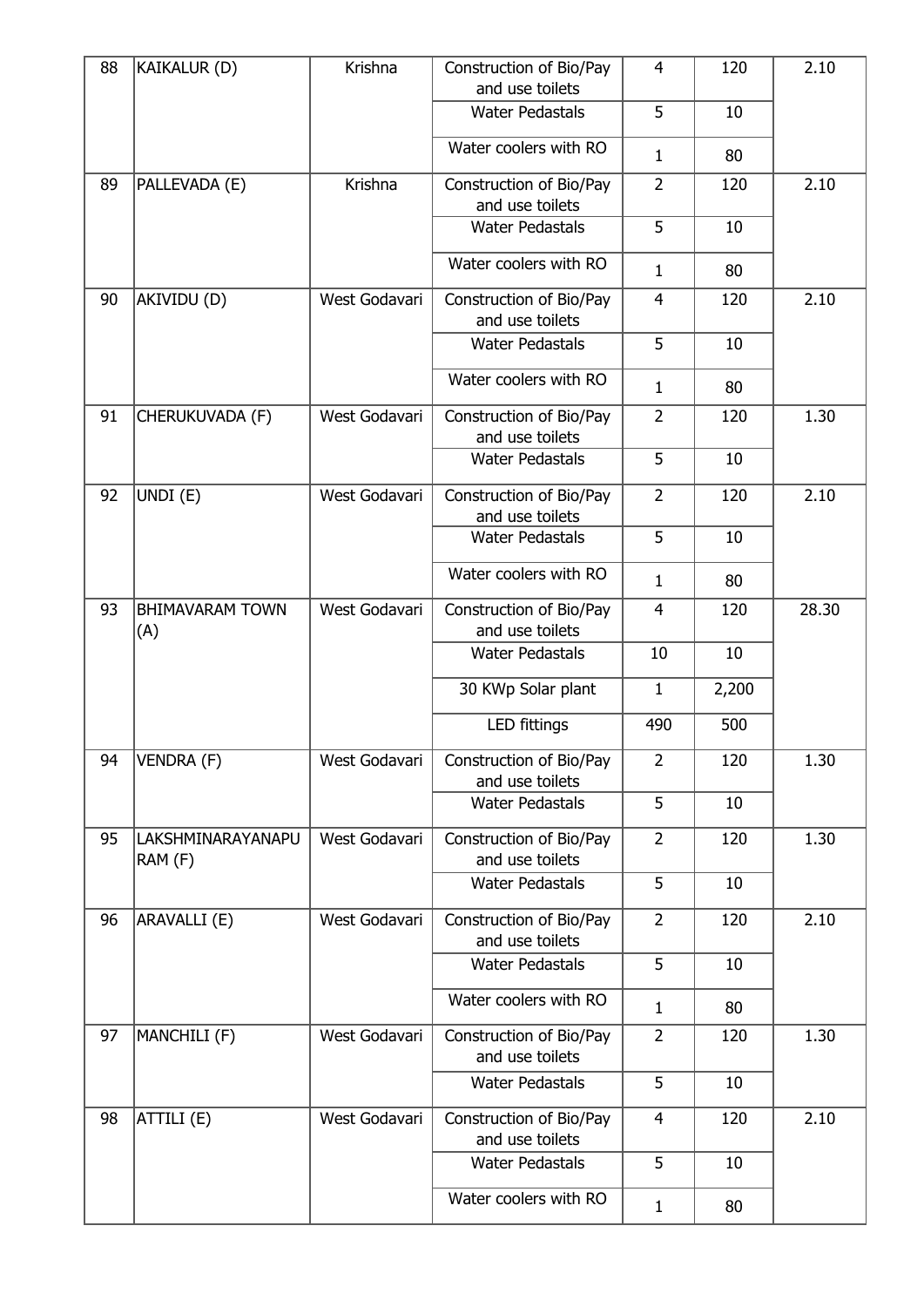| 88 | <b>KAIKALUR (D)</b>           | Krishna       | Construction of Bio/Pay<br>and use toilets | $\overline{4}$ | 120   | 2.10  |
|----|-------------------------------|---------------|--------------------------------------------|----------------|-------|-------|
|    |                               |               | <b>Water Pedastals</b>                     | 5              | 10    |       |
|    |                               |               | Water coolers with RO                      | $\mathbf{1}$   | 80    |       |
| 89 | PALLEVADA (E)                 | Krishna       | Construction of Bio/Pay<br>and use toilets | $\overline{2}$ | 120   | 2.10  |
|    |                               |               | <b>Water Pedastals</b>                     | 5              | 10    |       |
|    |                               |               | Water coolers with RO                      | $\mathbf{1}$   | 80    |       |
| 90 | AKIVIDU (D)                   | West Godavari | Construction of Bio/Pay<br>and use toilets | $\overline{4}$ | 120   | 2.10  |
|    |                               |               | <b>Water Pedastals</b>                     | 5              | 10    |       |
|    |                               |               | Water coolers with RO                      | $\mathbf{1}$   | 80    |       |
| 91 | CHERUKUVADA (F)               | West Godavari | Construction of Bio/Pay<br>and use toilets | $\overline{2}$ | 120   | 1.30  |
|    |                               |               | <b>Water Pedastals</b>                     | 5              | 10    |       |
| 92 | UNDI (E)                      | West Godavari | Construction of Bio/Pay<br>and use toilets | $\overline{2}$ | 120   | 2.10  |
|    |                               |               | <b>Water Pedastals</b>                     | 5              | 10    |       |
|    |                               |               | Water coolers with RO                      | $\mathbf{1}$   | 80    |       |
| 93 | <b>BHIMAVARAM TOWN</b><br>(A) | West Godavari | Construction of Bio/Pay<br>and use toilets | $\overline{4}$ | 120   | 28.30 |
|    |                               |               | <b>Water Pedastals</b>                     | 10             | 10    |       |
|    |                               |               | 30 KWp Solar plant                         | $\mathbf 1$    | 2,200 |       |
|    |                               |               | LED fittings                               | 490            | 500   |       |
| 94 | VENDRA (F)                    | West Godavari | Construction of Bio/Pay<br>and use toilets | 2              | 120   | 1.30  |
|    |                               |               | <b>Water Pedastals</b>                     | 5              | 10    |       |
| 95 | LAKSHMINARAYANAPU<br>RAM (F)  | West Godavari | Construction of Bio/Pay<br>and use toilets | $\overline{2}$ | 120   | 1.30  |
|    |                               |               | <b>Water Pedastals</b>                     | 5              | 10    |       |
| 96 | ARAVALLI (E)                  | West Godavari | Construction of Bio/Pay<br>and use toilets | $\overline{2}$ | 120   | 2.10  |
|    |                               |               | <b>Water Pedastals</b>                     | 5              | 10    |       |
|    |                               |               | Water coolers with RO                      | $\mathbf{1}$   | 80    |       |
| 97 | MANCHILI (F)                  | West Godavari | Construction of Bio/Pay<br>and use toilets | $\overline{2}$ | 120   | 1.30  |
|    |                               |               | <b>Water Pedastals</b>                     | 5              | 10    |       |
| 98 | ATTILI (E)                    | West Godavari | Construction of Bio/Pay<br>and use toilets | $\overline{4}$ | 120   | 2.10  |
|    |                               |               | <b>Water Pedastals</b>                     | 5              | 10    |       |
|    |                               |               | Water coolers with RO                      | $\mathbf{1}$   | 80    |       |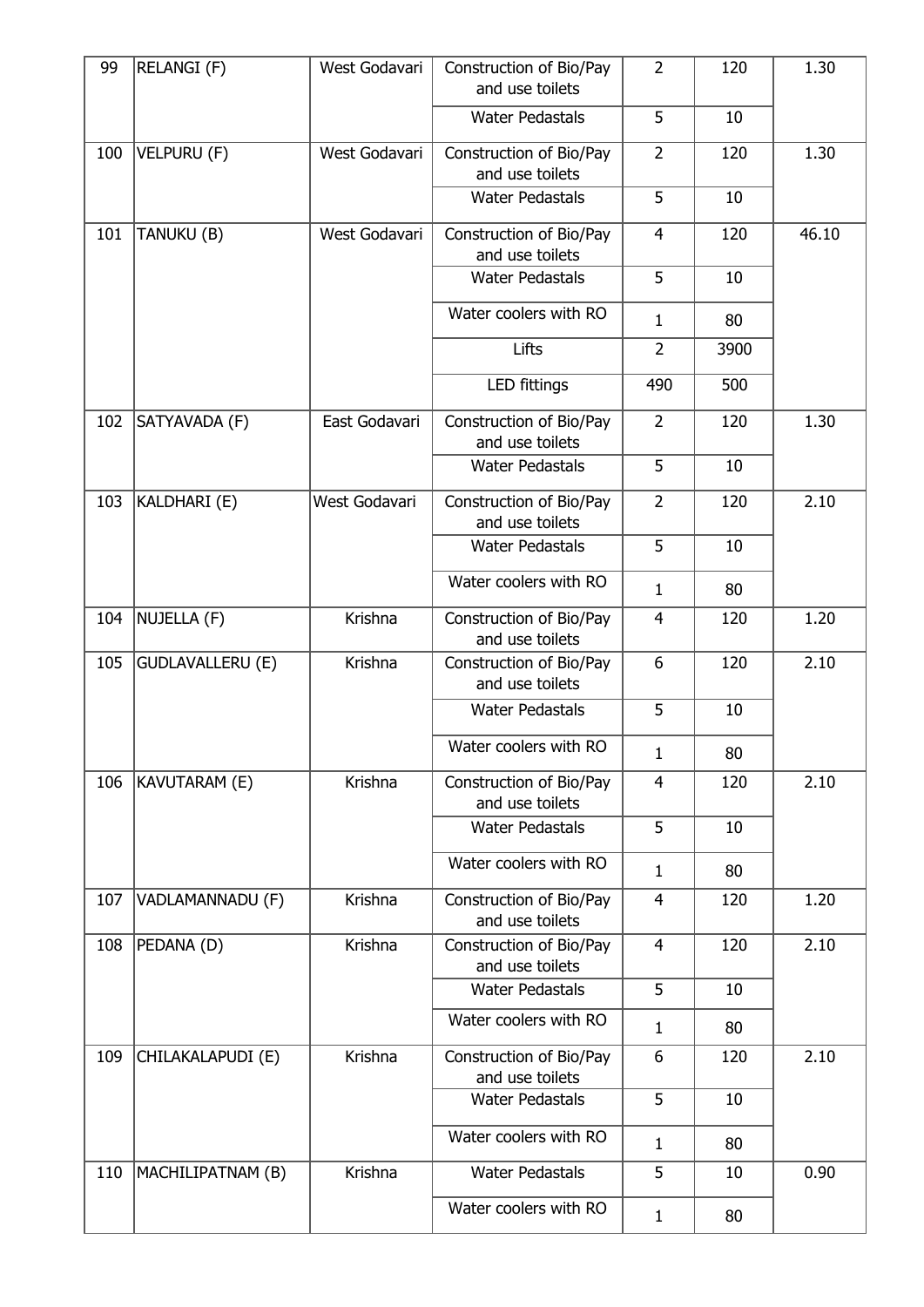| 99  | RELANGI (F)             | West Godavari | Construction of Bio/Pay<br>and use toilets | $\overline{2}$ | 120  | 1.30  |
|-----|-------------------------|---------------|--------------------------------------------|----------------|------|-------|
|     |                         |               | <b>Water Pedastals</b>                     | 5              | 10   |       |
| 100 | <b>VELPURU (F)</b>      | West Godavari | Construction of Bio/Pay<br>and use toilets | $\overline{2}$ | 120  | 1.30  |
|     |                         |               | <b>Water Pedastals</b>                     | 5              | 10   |       |
| 101 | TANUKU (B)              | West Godavari | Construction of Bio/Pay<br>and use toilets | $\overline{4}$ | 120  | 46.10 |
|     |                         |               | <b>Water Pedastals</b>                     | 5              | 10   |       |
|     |                         |               | Water coolers with RO                      | $\mathbf{1}$   | 80   |       |
|     |                         |               | Lifts                                      | $\overline{2}$ | 3900 |       |
|     |                         |               | LED fittings                               | 490            | 500  |       |
| 102 | SATYAVADA (F)           | East Godavari | Construction of Bio/Pay<br>and use toilets | $\overline{2}$ | 120  | 1.30  |
|     |                         |               | <b>Water Pedastals</b>                     | 5              | 10   |       |
| 103 | KALDHARI (E)            | West Godavari | Construction of Bio/Pay<br>and use toilets | $\overline{2}$ | 120  | 2.10  |
|     |                         |               | <b>Water Pedastals</b>                     | 5              | 10   |       |
|     |                         |               | Water coolers with RO                      | $\mathbf{1}$   | 80   |       |
| 104 | NUJELLA (F)             | Krishna       | Construction of Bio/Pay<br>and use toilets | $\overline{4}$ | 120  | 1.20  |
| 105 | <b>GUDLAVALLERU (E)</b> | Krishna       | Construction of Bio/Pay<br>and use toilets | 6              | 120  | 2.10  |
|     |                         |               | <b>Water Pedastals</b>                     | 5              | 10   |       |
|     |                         |               | Water coolers with RO                      | $\mathbf{1}$   | 80   |       |
| 106 | KAVUTARAM (E)           | Krishna       | Construction of Bio/Pay<br>and use toilets | 4              | 120  | 2.10  |
|     |                         |               | <b>Water Pedastals</b>                     | 5              | 10   |       |
|     |                         |               | Water coolers with RO                      | $\mathbf{1}$   | 80   |       |
| 107 | VADLAMANNADU (F)        | Krishna       | Construction of Bio/Pay<br>and use toilets | $\overline{4}$ | 120  | 1.20  |
| 108 | PEDANA (D)              | Krishna       | Construction of Bio/Pay<br>and use toilets | $\overline{4}$ | 120  | 2.10  |
|     |                         |               | <b>Water Pedastals</b>                     | 5              | 10   |       |
|     |                         |               | Water coolers with RO                      | $\mathbf{1}$   | 80   |       |
| 109 | CHILAKALAPUDI (E)       | Krishna       | Construction of Bio/Pay<br>and use toilets | 6              | 120  | 2.10  |
|     |                         |               | <b>Water Pedastals</b>                     | 5              | 10   |       |
|     |                         |               | Water coolers with RO                      | $\mathbf{1}$   | 80   |       |
| 110 | MACHILIPATNAM (B)       | Krishna       | <b>Water Pedastals</b>                     | 5              | 10   | 0.90  |
|     |                         |               | Water coolers with RO                      | $\mathbf{1}$   | 80   |       |